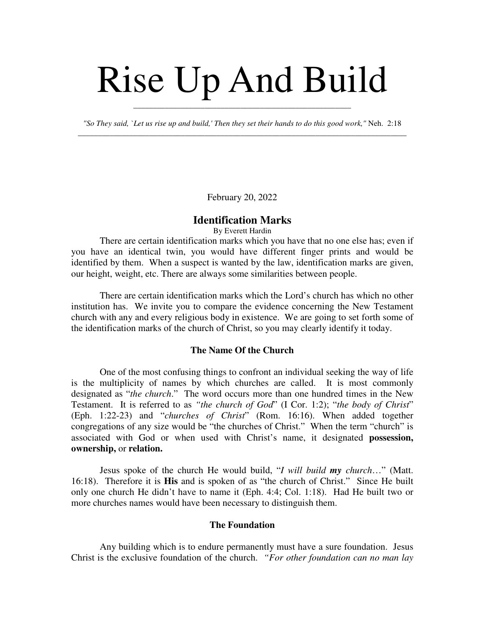# Rise Up And Build

*"So They said, `Let us rise up and build,' Then they set their hands to do this good work,"* Neh. 2:18 \_\_\_\_\_\_\_\_\_\_\_\_\_\_\_\_\_\_\_\_\_\_\_\_\_\_\_\_\_\_\_\_\_\_\_\_\_\_\_\_\_\_\_\_\_\_\_\_\_\_\_\_\_\_\_\_\_\_\_\_\_\_\_\_\_\_\_\_\_\_\_\_\_\_\_\_\_\_\_\_\_\_\_

\_\_\_\_\_\_\_\_\_\_\_\_\_\_\_\_\_\_\_\_\_\_\_\_\_\_\_\_\_\_\_\_\_\_\_\_\_\_\_\_\_\_\_\_\_\_\_\_\_\_\_\_\_\_\_

February 20, 2022

#### **Identification Marks**

By Everett Hardin

There are certain identification marks which you have that no one else has; even if you have an identical twin, you would have different finger prints and would be identified by them. When a suspect is wanted by the law, identification marks are given, our height, weight, etc. There are always some similarities between people.

There are certain identification marks which the Lord's church has which no other institution has. We invite you to compare the evidence concerning the New Testament church with any and every religious body in existence. We are going to set forth some of the identification marks of the church of Christ, so you may clearly identify it today.

## **The Name Of the Church**

One of the most confusing things to confront an individual seeking the way of life is the multiplicity of names by which churches are called. It is most commonly designated as "*the church*." The word occurs more than one hundred times in the New Testament. It is referred to as *"the church of God*" (I Cor. 1:2); "*the body of Christ*" (Eph. 1:22-23) and "*churches of Christ*" (Rom. 16:16). When added together congregations of any size would be "the churches of Christ." When the term "church" is associated with God or when used with Christ's name, it designated **possession, ownership,** or **relation.**

Jesus spoke of the church He would build, "*I will build my church*…" (Matt. 16:18). Therefore it is **His** and is spoken of as "the church of Christ." Since He built only one church He didn't have to name it (Eph. 4:4; Col. 1:18). Had He built two or more churches names would have been necessary to distinguish them.

#### **The Foundation**

Any building which is to endure permanently must have a sure foundation. Jesus Christ is the exclusive foundation of the church. *"For other foundation can no man lay*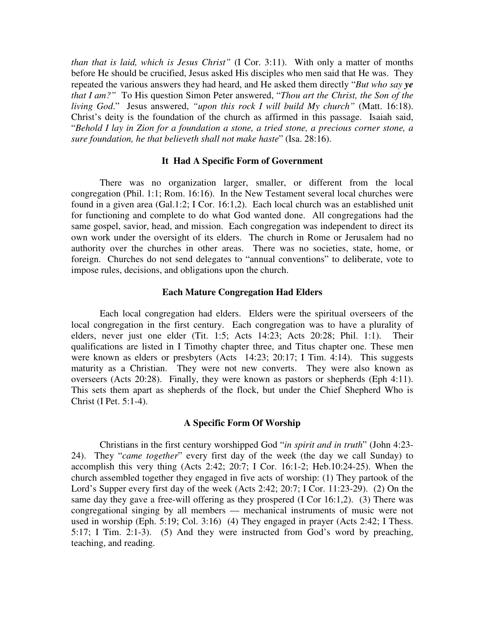*than that is laid, which is Jesus Christ"* (I Cor. 3:11). With only a matter of months before He should be crucified, Jesus asked His disciples who men said that He was. They repeated the various answers they had heard, and He asked them directly "*But who say ye that I am?"* To His question Simon Peter answered, "*Thou art the Christ, the Son of the living God*." Jesus answered, *"upon this rock I will build My church"* (Matt. 16:18). Christ's deity is the foundation of the church as affirmed in this passage. Isaiah said, "*Behold I lay in Zion for a foundation a stone, a tried stone, a precious corner stone, a sure foundation, he that believeth shall not make haste*" (Isa. 28:16).

#### **It Had A Specific Form of Government**

There was no organization larger, smaller, or different from the local congregation (Phil. 1:1; Rom. 16:16). In the New Testament several local churches were found in a given area (Gal.1:2; I Cor. 16:1,2). Each local church was an established unit for functioning and complete to do what God wanted done. All congregations had the same gospel, savior, head, and mission. Each congregation was independent to direct its own work under the oversight of its elders. The church in Rome or Jerusalem had no authority over the churches in other areas. There was no societies, state, home, or foreign. Churches do not send delegates to "annual conventions" to deliberate, vote to impose rules, decisions, and obligations upon the church.

#### **Each Mature Congregation Had Elders**

Each local congregation had elders. Elders were the spiritual overseers of the local congregation in the first century. Each congregation was to have a plurality of elders, never just one elder (Tit. 1:5; Acts 14:23; Acts 20:28; Phil. 1:1). Their qualifications are listed in I Timothy chapter three, and Titus chapter one. These men were known as elders or presbyters (Acts 14:23; 20:17; I Tim. 4:14). This suggests maturity as a Christian. They were not new converts. They were also known as overseers (Acts 20:28). Finally, they were known as pastors or shepherds (Eph 4:11). This sets them apart as shepherds of the flock, but under the Chief Shepherd Who is Christ (I Pet. 5:1-4).

### **A Specific Form Of Worship**

Christians in the first century worshipped God "*in spirit and in truth*" (John 4:23- 24). They "*came together*" every first day of the week (the day we call Sunday) to accomplish this very thing (Acts 2:42; 20:7; I Cor. 16:1-2; Heb.10:24-25). When the church assembled together they engaged in five acts of worship: (1) They partook of the Lord's Supper every first day of the week (Acts 2:42; 20:7; I Cor. 11:23-29). (2) On the same day they gave a free-will offering as they prospered (I Cor 16:1,2). (3) There was congregational singing by all members — mechanical instruments of music were not used in worship (Eph. 5:19; Col. 3:16) (4) They engaged in prayer (Acts 2:42; I Thess. 5:17; I Tim. 2:1-3). (5) And they were instructed from God's word by preaching, teaching, and reading.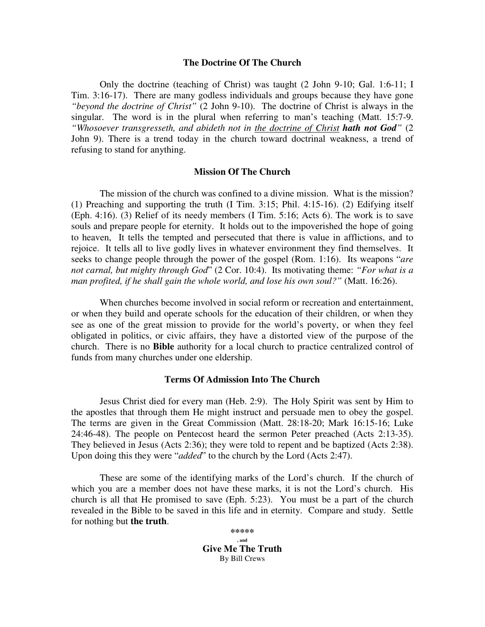#### **The Doctrine Of The Church**

Only the doctrine (teaching of Christ) was taught (2 John 9-10; Gal. 1:6-11; I Tim. 3:16-17). There are many godless individuals and groups because they have gone *"beyond the doctrine of Christ"* (2 John 9-10). The doctrine of Christ is always in the singular. The word is in the plural when referring to man's teaching (Matt. 15:7-9. *"Whosoever transgresseth, and abideth not in the doctrine of Christ hath not God" (2)* John 9). There is a trend today in the church toward doctrinal weakness, a trend of refusing to stand for anything.

#### **Mission Of The Church**

The mission of the church was confined to a divine mission. What is the mission? (1) Preaching and supporting the truth (I Tim. 3:15; Phil. 4:15-16). (2) Edifying itself (Eph. 4:16). (3) Relief of its needy members (I Tim. 5:16; Acts 6). The work is to save souls and prepare people for eternity. It holds out to the impoverished the hope of going to heaven, It tells the tempted and persecuted that there is value in afflictions, and to rejoice. It tells all to live godly lives in whatever environment they find themselves. It seeks to change people through the power of the gospel (Rom. 1:16). Its weapons "*are not carnal, but mighty through God*" (2 Cor. 10:4). Its motivating theme: *"For what is a man profited, if he shall gain the whole world, and lose his own soul?"* (Matt. 16:26).

When churches become involved in social reform or recreation and entertainment, or when they build and operate schools for the education of their children, or when they see as one of the great mission to provide for the world's poverty, or when they feel obligated in politics, or civic affairs, they have a distorted view of the purpose of the church. There is no **Bible** authority for a local church to practice centralized control of funds from many churches under one eldership.

## **Terms Of Admission Into The Church**

Jesus Christ died for every man (Heb. 2:9). The Holy Spirit was sent by Him to the apostles that through them He might instruct and persuade men to obey the gospel. The terms are given in the Great Commission (Matt. 28:18-20; Mark 16:15-16; Luke 24:46-48). The people on Pentecost heard the sermon Peter preached (Acts 2:13-35). They believed in Jesus (Acts 2:36); they were told to repent and be baptized (Acts 2:38). Upon doing this they were "*added*" to the church by the Lord (Acts 2:47).

These are some of the identifying marks of the Lord's church. If the church of which you are a member does not have these marks, it is not the Lord's church. His church is all that He promised to save (Eph. 5:23). You must be a part of the church revealed in the Bible to be saved in this life and in eternity. Compare and study. Settle for nothing but **the truth**.

> **\*\*\*\*\* , and Give Me The Truth** By Bill Crews